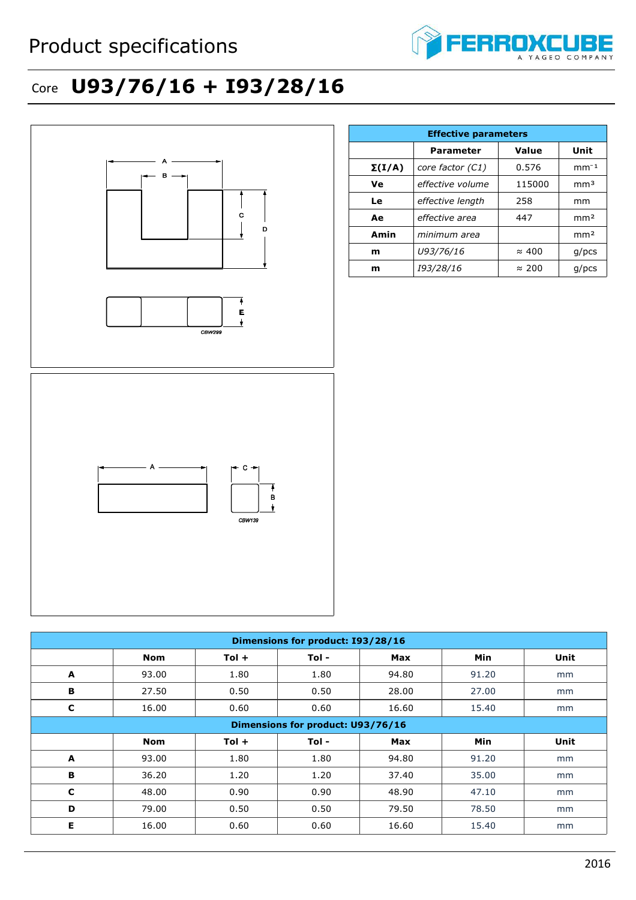

## Core **U93/76/16 + I93/28/16**



| c                                 | 16.00 | 0.60    | 0.60  | 16.60 | 15.40 | mm   |
|-----------------------------------|-------|---------|-------|-------|-------|------|
| Dimensions for product: U93/76/16 |       |         |       |       |       |      |
|                                   | Nom   | $Tol +$ | Tol - | Max   | Min   | Unit |
| A                                 | 93.00 | 1.80    | 1.80  | 94.80 | 91.20 | mm   |
| В                                 | 36.20 | 1.20    | 1.20  | 37.40 | 35.00 | mm   |
| C                                 | 48.00 | 0.90    | 0.90  | 48.90 | 47.10 | mm   |
| D                                 | 79.00 | 0.50    | 0.50  | 79.50 | 78.50 | mm   |
| Е                                 | 16.00 | 0.60    | 0.60  | 16.60 | 15.40 | mm   |